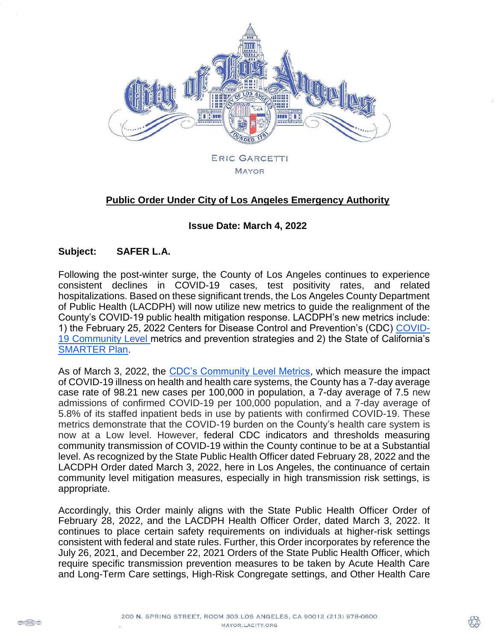

# **Public Order Under City of Los Angeles Emergency Authority**

#### **Issue Date: March 4, 2022**

#### **Subject: SAFER L.A.**

Following the post-winter surge, the County of Los Angeles continues to experience consistent declines in COVID-19 cases, test positivity rates, and related hospitalizations. Based on these significant trends, the Los Angeles County Department of Public Health (LACDPH) will now utilize new metrics to guide the realignment of the County's COVID-19 public health mitigation response. LACDPH's new metrics include: 1) the February 25, 2022 Centers for Disease Control and Prevention's (CDC) [COVID-](https://www.cdc.gov/coronavirus/2019-ncov/your-health/covid-by-county.html)[19 Community Level](https://www.cdc.gov/coronavirus/2019-ncov/your-health/covid-by-county.html) metrics and prevention strategies and 2) the State of California's [SMARTER Plan.](https://covid19.ca.gov/smarter/)

As of March 3, 2022, the [CDC's Community Level Metrics,](https://www.cdc.gov/coronavirus/2019-ncov/your-health/covid-by-county.html) which measure the impact of COVID-19 illness on health and health care systems, the County has a 7-day average case rate of 98.21 new cases per 100,000 in population, a 7-day average of 7.5 new admissions of confirmed COVID-19 per 100,000 population, and a 7-day average of 5.8% of its staffed inpatient beds in use by patients with confirmed COVID-19. These metrics demonstrate that the COVID-19 burden on the County's health care system is now at a Low level. However, federal CDC indicators and thresholds measuring community transmission of COVID-19 within the County continue to be at a Substantial level. As recognized by the State Public Health Officer dated February 28, 2022 and the LACDPH Order dated March 3, 2022, here in Los Angeles, the continuance of certain community level mitigation measures, especially in high transmission risk settings, is appropriate.

Accordingly, this Order mainly aligns with the State Public Health Officer Order of February 28, 2022, and the LACDPH Health Officer Order, dated March 3, 2022. It continues to place certain safety requirements on individuals at higher-risk settings consistent with federal and state rules. Further, this Order incorporates by reference the July 26, 2021, and December 22, 2021 Orders of the State Public Health Officer, which require specific transmission prevention measures to be taken by Acute Health Care and Long-Term Care settings, High-Risk Congregate settings, and Other Health Care

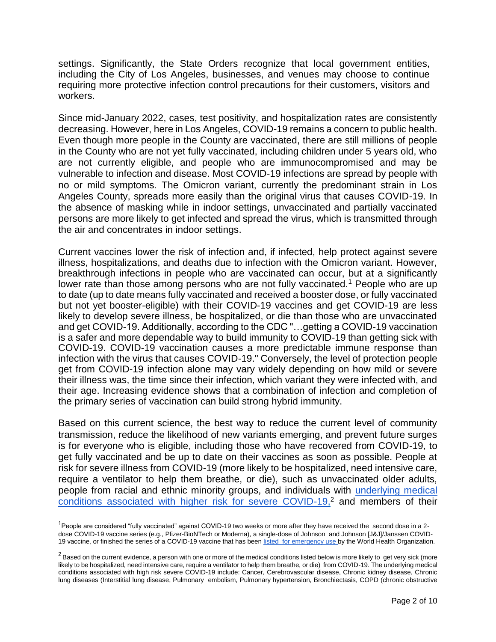settings. Significantly, the State Orders recognize that local government entities, including the City of Los Angeles, businesses, and venues may choose to continue requiring more protective infection control precautions for their customers, visitors and workers.

Since mid-January 2022, cases, test positivity, and hospitalization rates are consistently decreasing. However, here in Los Angeles, COVID-19 remains a concern to public health. Even though more people in the County are vaccinated, there are still millions of people in the County who are not yet fully vaccinated, including children under 5 years old, who are not currently eligible, and people who are immunocompromised and may be vulnerable to infection and disease. Most COVID-19 infections are spread by people with no or mild symptoms. The Omicron variant, currently the predominant strain in Los Angeles County, spreads more easily than the original virus that causes COVID-19. In the absence of masking while in indoor settings, unvaccinated and partially vaccinated persons are more likely to get infected and spread the virus, which is transmitted through the air and concentrates in indoor settings.

Current vaccines lower the risk of infection and, if infected, help protect against severe illness, hospitalizations, and deaths due to infection with the Omicron variant. However, breakthrough infections in people who are vaccinated can occur, but at a significantly lower rate than those among persons who are not fully vaccinated.<sup>1</sup> People who are up to date (up to date means fully vaccinated and received a booster dose, or fully vaccinated but not yet booster-eligible) with their COVID-19 vaccines and get COVID-19 are less likely to develop severe illness, be hospitalized, or die than those who are unvaccinated and get COVID-19. Additionally, according to the CDC "…getting a COVID-19 vaccination is a safer and more dependable way to build immunity to COVID-19 than getting sick with COVID-19. COVID-19 vaccination causes a more predictable immune response than infection with the virus that causes COVID-19." Conversely, the level of protection people get from COVID-19 infection alone may vary widely depending on how mild or severe their illness was, the time since their infection, which variant they were infected with, and their age. Increasing evidence shows that a combination of infection and completion of the primary series of vaccination can build strong hybrid immunity.

Based on this current science, the best way to reduce the current level of community transmission, reduce the likelihood of new variants emerging, and prevent future surges is for everyone who is eligible, including those who have recovered from COVID-19, to get fully vaccinated and be up to date on their vaccines as soon as possible. People at risk for severe illness from COVID-19 (more likely to be hospitalized, need intensive care, require a ventilator to help them breathe, or die), such as unvaccinated older adults, people from racial and ethnic minority groups, and individuals with [underlying medical](https://www.cdc.gov/coronavirus/2019-ncov/need-extra-precautions/people-with-medical-conditions.html)  [conditions associated with higher risk for severe COVID-19,](https://www.cdc.gov/coronavirus/2019-ncov/need-extra-precautions/people-with-medical-conditions.html) <sup>2</sup> and members of their

 $\overline{\phantom{a}}$ 

 $1$ People are considered "fully vaccinated" against COVID-19 two weeks or more after they have received the second dose in a 2dose COVID-19 vaccine series (e.g., Pfizer-BioNTech or Moderna), a single-dose of Johnson and Johnson [J&J]/Janssen COVID19 vaccine, or finished the series of a COVID-19 vaccine that has bee[n listed for emergency use b](https://extranet.who.int/pqweb/vaccines/covid-19-vaccines)y the World Health Organization.

 $2$  Based on the current evidence, a person with one or more of the medical conditions listed below is more likely to get very sick (more likely to be hospitalized, need intensive care, require a ventilator to help them breathe, or die) from COVID-19. The underlying medical conditions associated with high risk severe COVID-19 include: Cancer, Cerebrovascular disease, Chronic kidney disease, Chronic lung diseases (Interstitial lung disease, Pulmonary embolism, Pulmonary hypertension, Bronchiectasis, COPD (chronic obstructive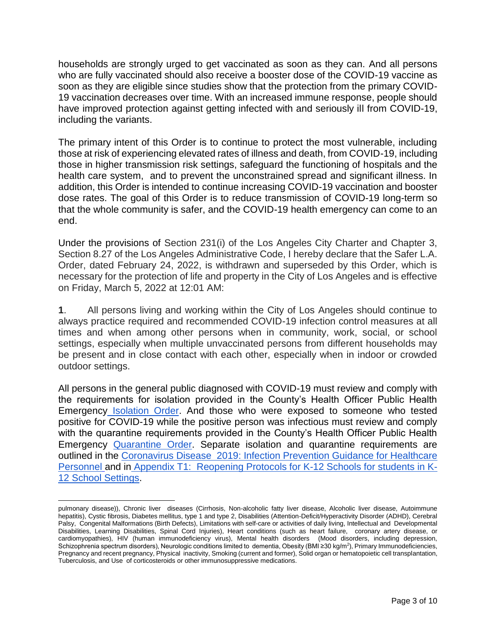households are strongly urged to get vaccinated as soon as they can. And all persons who are fully vaccinated should also receive a booster dose of the COVID-19 vaccine as soon as they are eligible since studies show that the protection from the primary COVID-19 vaccination decreases over time. With an increased immune response, people should have improved protection against getting infected with and seriously ill from COVID-19, including the variants.

The primary intent of this Order is to continue to protect the most vulnerable, including those at risk of experiencing elevated rates of illness and death, from COVID-19, including those in higher transmission risk settings, safeguard the functioning of hospitals and the health care system, and to prevent the unconstrained spread and significant illness. In addition, this Order is intended to continue increasing COVID-19 vaccination and booster dose rates. The goal of this Order is to reduce transmission of COVID-19 long-term so that the whole community is safer, and the COVID-19 health emergency can come to an end.

Under the provisions of Section 231(i) of the Los Angeles City Charter and Chapter 3, Section 8.27 of the Los Angeles Administrative Code, I hereby declare that the Safer L.A. Order, dated February 24, 2022, is withdrawn and superseded by this Order, which is necessary for the protection of life and property in the City of Los Angeles and is effective on Friday, March 5, 2022 at 12:01 AM:

**1**. All persons living and working within the City of Los Angeles should continue to always practice required and recommended COVID-19 infection control measures at all times and when among other persons when in community, work, social, or school settings, especially when multiple unvaccinated persons from different households may be present and in close contact with each other, especially when in indoor or crowded outdoor settings.

All persons in the general public diagnosed with COVID-19 must review and comply with the requirements for isolation provided in the County's Health Officer Public Health Emergency [Isolation Order.](http://publichealth.lacounty.gov/media/Coronavirus/docs/HOO/HOO_Coronavirus_Blanket_Isolation.pdf) And those who were exposed to someone who tested positive for COVID-19 while the positive person was infectious must review and comply with the quarantine requirements provided in the County's Health Officer Public Health Emergency [Quarantine Order.](http://publichealth.lacounty.gov/media/Coronavirus/docs/HOO/HOO_Coronavirus_Blanket_Quarantine.pdf) Separate isolation and quarantine requirements are outlined in the [Coronavirus Disease 2019: Infection Prevention Guidance for Healthcare](http://publichealth.lacounty.gov/acd/ncorona2019/healthfacilities/HCPMonitoring/)  [Personnel](http://publichealth.lacounty.gov/acd/ncorona2019/healthfacilities/HCPMonitoring/) and in [Appendix T1: Reopening Protocols for K-12 Schools for students in K-](http://publichealth.lacounty.gov/media/Coronavirus/docs/protocols/Reopening_K12Schools.pdf)[12 School Settings.](http://publichealth.lacounty.gov/media/Coronavirus/docs/protocols/Reopening_K12Schools.pdf)

 $\overline{\phantom{a}}$ pulmonary disease)), Chronic liver diseases (Cirrhosis, Non-alcoholic fatty liver disease, Alcoholic liver disease, Autoimmune hepatitis), Cystic fibrosis, Diabetes mellitus, type 1 and type 2, Disabilities (Attention-Deficit/Hyperactivity Disorder (ADHD), Cerebral Palsy, Congenital Malformations (Birth Defects), Limitations with self-care or activities of daily living, Intellectual and Developmental Disabilities, Learning Disabilities, Spinal Cord Injuries), Heart conditions (such as heart failure, coronary artery disease, or cardiomyopathies), HIV (human immunodeficiency virus), Mental health disorders (Mood disorders, including depression, Schizophrenia spectrum disorders), Neurologic conditions limited to dementia, Obesity (BMI ≥30 kg/m<sup>2</sup>), Primary Immunodeficiencies, Pregnancy and recent pregnancy, Physical inactivity, Smoking (current and former), Solid organ or hematopoietic cell transplantation, Tuberculosis, and Use of corticosteroids or other immunosuppressive medications.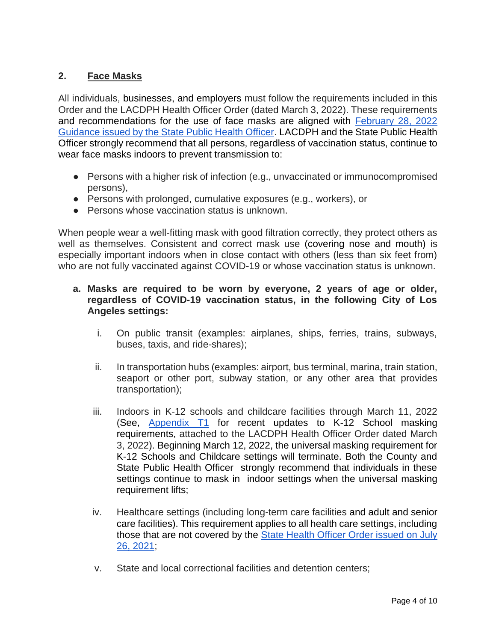## **2. Face Masks**

All individuals, businesses, and employers must follow the requirements included in this Order and the LACDPH Health Officer Order (dated March 3, 2022). These requirements and recommendations for the use of face masks are aligned with [February 28, 2022](https://www.cdph.ca.gov/Programs/CID/DCDC/Pages/COVID-19/guidance-for-face-coverings.aspx#:~:text=California%20Department%20of%20Public%20Health&text=Updates%20as%20of%20February%2028,vaccine%20status%2C%20continue%20indoor%20masking.)  [Guidance issued by the State Public Health Officer.](https://www.cdph.ca.gov/Programs/CID/DCDC/Pages/COVID-19/guidance-for-face-coverings.aspx#:~:text=California%20Department%20of%20Public%20Health&text=Updates%20as%20of%20February%2028,vaccine%20status%2C%20continue%20indoor%20masking.) LACDPH and the State Public Health Officer strongly recommend that all persons, regardless of vaccination status, continue to wear face masks indoors to prevent transmission to:

- Persons with a higher risk of infection (e.g., unvaccinated or immunocompromised persons),
- Persons with prolonged, cumulative exposures (e.g., workers), or
- Persons whose vaccination status is unknown.

When people wear a well-fitting mask with good filtration correctly, they protect others as well as themselves. Consistent and correct mask use (covering nose and mouth) is especially important indoors when in close contact with others (less than six feet from) who are not fully vaccinated against COVID-19 or whose vaccination status is unknown.

### **a. Masks are required to be worn by everyone, 2 years of age or older, regardless of COVID-19 vaccination status, in the following City of Los Angeles settings:**

- i. On public transit (examples: airplanes, ships, ferries, trains, subways, buses, taxis, and ride-shares);
- ii. In transportation hubs (examples: airport, bus terminal, marina, train station, seaport or other port, subway station, or any other area that provides transportation);
- iii. Indoors in K-12 schools and childcare facilities through March 11, 2022 (See, [Appendix T1](http://publichealth.lacounty.gov/media/Coronavirus/reopening-la.htm#daycamps) for recent updates to K-12 School masking requirements, attached to the LACDPH Health Officer Order dated March 3, 2022). Beginning March 12, 2022, the universal masking requirement for K-12 Schools and Childcare settings will terminate. Both the County and State Public Health Officer strongly recommend that individuals in these settings continue to mask in indoor settings when the universal masking requirement lifts;
- iv. Healthcare settings (including long-term care facilities and adult and senior care facilities). This requirement applies to all health care settings, including those that are not covered by the State Health Officer Order issued on July [26, 2021;](https://www.cdph.ca.gov/Programs/CID/DCDC/Pages/COVID-19/Order-of-the-State-Public-Health-Officer-Unvaccinated-Workers-In-High-Risk-Settings.aspx)
- v. State and local correctional facilities and detention centers;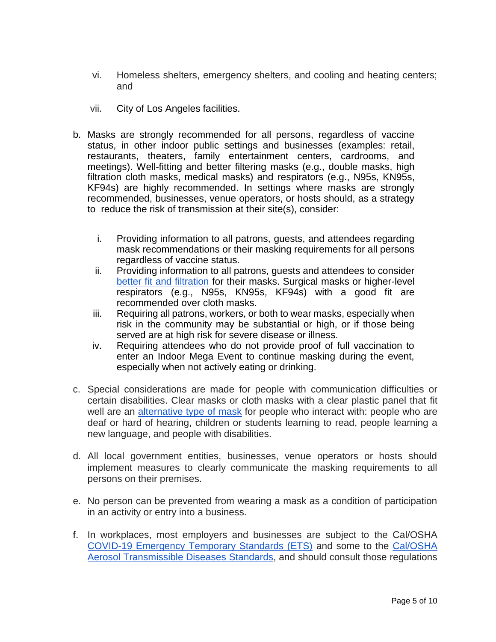- vi. Homeless shelters, emergency shelters, and cooling and heating centers; and
- vii. City of Los Angeles facilities.
- b. Masks are strongly recommended for all persons, regardless of vaccine status, in other indoor public settings and businesses (examples: retail, restaurants, theaters, family entertainment centers, cardrooms, and meetings). Well-fitting and better filtering masks (e.g., double masks, high filtration cloth masks, medical masks) and respirators (e.g., N95s, KN95s, KF94s) are highly recommended. In settings where masks are strongly recommended, businesses, venue operators, or hosts should, as a strategy to reduce the risk of transmission at their site(s), consider:
	- i. Providing information to all patrons, guests, and attendees regarding mask recommendations or their masking requirements for all persons regardless of vaccine status.
	- ii. Providing information to all patrons, guests and attendees to consider [better fit and filtration](http://publichealth.lacounty.gov/acd/ncorona2019/masks/#kindofmask) for their masks. Surgical masks or higher-level respirators (e.g., N95s, KN95s, KF94s) with a good fit are recommended over cloth masks.
	- iii. Requiring all patrons, workers, or both to wear masks, especially when risk in the community may be substantial or high, or if those being served are at high risk for severe disease or illness.
	- iv. Requiring attendees who do not provide proof of full vaccination to enter an Indoor Mega Event to continue masking during the event, especially when not actively eating or drinking.
- c. Special considerations are made for people with communication difficulties or certain disabilities. Clear masks or cloth masks with a clear plastic panel that fit well are an [alternative type of mask](http://publichealth.lacounty.gov/acd/ncorona2019/masks/#specialconsiderations) for people who interact with: people who are deaf or hard of hearing, children or students learning to read, people learning a new language, and people with disabilities.
- d. All local government entities, businesses, venue operators or hosts should implement measures to clearly communicate the masking requirements to all persons on their premises.
- e. No person can be prevented from wearing a mask as a condition of participation in an activity or entry into a business.
- f. In workplaces, most employers and businesses are subject to the Cal/OSHA [COVID-19 Emergency Temporary Standards \(ETS\)](https://www.dir.ca.gov/dosh/coronavirus/ETS.html) and some to the [Cal/OSHA](https://www.dir.ca.gov/dosh/dosh_publications/ATD-Guide.pdf)  [Aerosol Transmissible Diseases Standards,](https://www.dir.ca.gov/dosh/dosh_publications/ATD-Guide.pdf) and should consult those regulations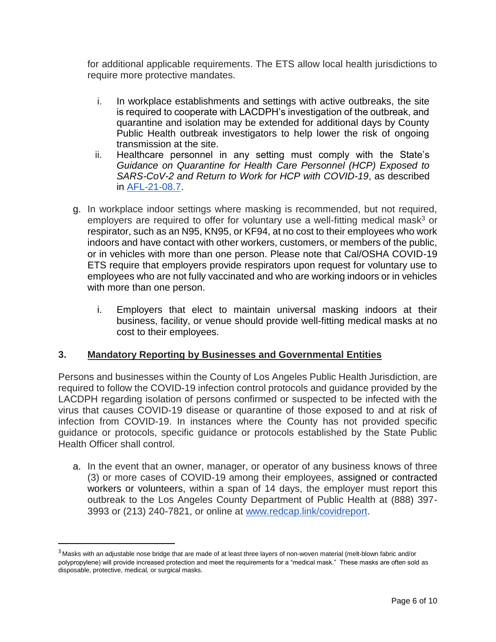for additional applicable requirements. The ETS allow local health jurisdictions to require more protective mandates.

- i. In workplace establishments and settings with active outbreaks, the site is required to cooperate with LACDPH's investigation of the outbreak, and quarantine and isolation may be extended for additional days by County Public Health outbreak investigators to help lower the risk of ongoing transmission at the site.
- ii. Healthcare personnel in any setting must comply with the State's *Guidance on Quarantine for Health Care Personnel (HCP) Exposed to SARS-CoV-2 and Return to Work for HCP with COVID-19*, as described in [AFL-21-08.7.](https://www.cdph.ca.gov/Programs/CHCQ/LCP/Pages/AFL-21-08.aspx)
- g. In workplace indoor settings where masking is recommended, but not required, employers are required to offer for voluntary use a well-fitting medical mask<sup>3</sup> or respirator, such as an N95, KN95, or KF94, at no cost to their employees who work indoors and have contact with other workers, customers, or members of the public, or in vehicles with more than one person. Please note that Cal/OSHA COVID-19 ETS require that employers provide respirators upon request for voluntary use to employees who are not fully vaccinated and who are working indoors or in vehicles with more than one person.
	- i. Employers that elect to maintain universal masking indoors at their business, facility, or venue should provide well-fitting medical masks at no cost to their employees.

### **3. Mandatory Reporting by Businesses and Governmental Entities**

Persons and businesses within the County of Los Angeles Public Health Jurisdiction, are required to follow the COVID-19 infection control protocols and guidance provided by the LACDPH regarding isolation of persons confirmed or suspected to be infected with the virus that causes COVID-19 disease or quarantine of those exposed to and at risk of infection from COVID-19. In instances where the County has not provided specific guidance or protocols, specific guidance or protocols established by the State Public Health Officer shall control.

a. In the event that an owner, manager, or operator of any business knows of three (3) or more cases of COVID-19 among their employees, assigned or contracted workers or volunteers, within a span of 14 days, the employer must report this outbreak to the Los Angeles County Department of Public Health at (888) 397- 3993 or (213) 240-7821, or online at [www.redcap.link/covidreport.](http://www.redcap.link/covidreport)

 $\overline{\phantom{a}}$ 

<sup>&</sup>lt;sup>3</sup> Masks with an adjustable nose bridge that are made of at least three layers of non-woven material (melt-blown fabric and/or polypropylene) will provide increased protection and meet the requirements for a "medical mask." These masks are often sold as disposable, protective, medical, or surgical masks.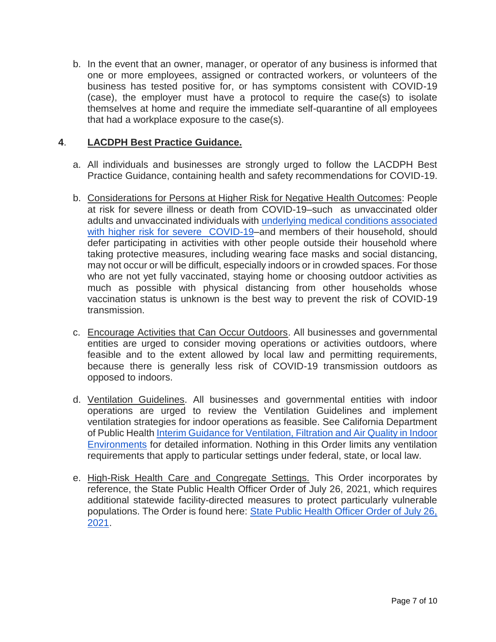b. In the event that an owner, manager, or operator of any business is informed that one or more employees, assigned or contracted workers, or volunteers of the business has tested positive for, or has symptoms consistent with COVID-19 (case), the employer must have a protocol to require the case(s) to isolate themselves at home and require the immediate self-quarantine of all employees that had a workplace exposure to the case(s).

### **4**. **LACDPH Best Practice Guidance.**

- a. All individuals and businesses are strongly urged to follow the LACDPH Best Practice Guidance, containing health and safety recommendations for COVID-19.
- b. Considerations for Persons at Higher Risk for Negative Health Outcomes: People at risk for severe illness or death from COVID-19–such as unvaccinated older adults and unvaccinated individuals with [underlying medical conditions associated](https://www.cdc.gov/coronavirus/2019-ncov/need-extra-precautions/people-with-medical-conditions.html)  [with higher risk for severe COVID-19–](https://www.cdc.gov/coronavirus/2019-ncov/need-extra-precautions/people-with-medical-conditions.html)and members of their household, should defer participating in activities with other people outside their household where taking protective measures, including wearing face masks and social distancing, may not occur or will be difficult, especially indoors or in crowded spaces. For those who are not yet fully vaccinated, staying home or choosing outdoor activities as much as possible with physical distancing from other households whose vaccination status is unknown is the best way to prevent the risk of COVID-19 transmission.
- c. Encourage Activities that Can Occur Outdoors. All businesses and governmental entities are urged to consider moving operations or activities outdoors, where feasible and to the extent allowed by local law and permitting requirements, because there is generally less risk of COVID-19 transmission outdoors as opposed to indoors.
- d. Ventilation Guidelines. All businesses and governmental entities with indoor operations are urged to review the Ventilation Guidelines and implement ventilation strategies for indoor operations as feasible. See California Department of Public Health [Interim Guidance for Ventilation, Filtration and Air Quality in Indoor](https://www.cdph.ca.gov/Programs/CID/DCDC/Pages/COVID-19/Interim-Guidance-for-Ventilation-Filtration-and-Air-Quality-in-Indoor-Environments.aspx) [Environments](https://www.cdph.ca.gov/Programs/CID/DCDC/Pages/COVID-19/Interim-Guidance-for-Ventilation-Filtration-and-Air-Quality-in-Indoor-Environments.aspx) for detailed information. Nothing in this Order limits any ventilation requirements that apply to particular settings under federal, state, or local law.
- e. High-Risk Health Care and Congregate Settings. This Order incorporates by reference, the State Public Health Officer Order of July 26, 2021, which requires additional statewide facility-directed measures to protect particularly vulnerable populations. The Order is found here: [State Public Health Officer Order of July 26,](https://www.cdph.ca.gov/Programs/CID/DCDC/Pages/COVID-19/Order-of-the-State-Public-Health-Officer-Unvaccinated-Workers-In-High-Risk-Settings.aspx#:~:text=LetterContentArea-,State%20Public%20Health%20Officer%20Order%20of%20July%2026%2C%202021,an%20additional%209%25%20partially%20vaccinated.)  [2021.](https://www.cdph.ca.gov/Programs/CID/DCDC/Pages/COVID-19/Order-of-the-State-Public-Health-Officer-Unvaccinated-Workers-In-High-Risk-Settings.aspx#:~:text=LetterContentArea-,State%20Public%20Health%20Officer%20Order%20of%20July%2026%2C%202021,an%20additional%209%25%20partially%20vaccinated.)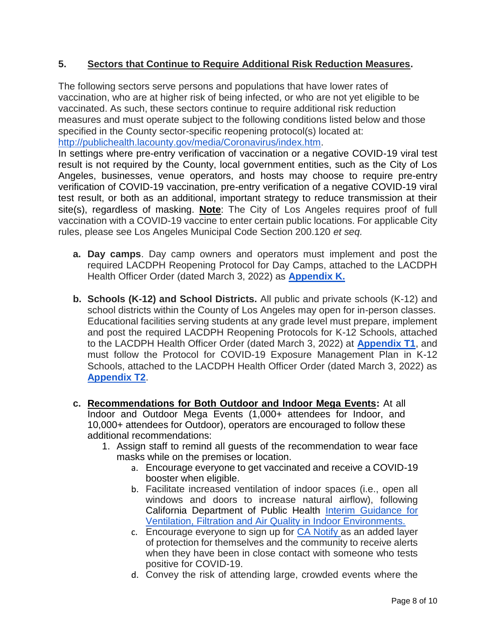### **5. Sectors that Continue to Require Additional Risk Reduction Measures.**

The following sectors serve persons and populations that have lower rates of vaccination, who are at higher risk of being infected, or who are not yet eligible to be vaccinated. As such, these sectors continue to require additional risk reduction measures and must operate subject to the following conditions listed below and those specified in the County sector-specific reopening protocol(s) located at: [http://publichealth.lacounty.gov/media/Coronavirus/index.htm.](http://publichealth.lacounty.gov/media/Coronavirus/index.htm)

In settings where pre-entry verification of vaccination or a negative COVID-19 viral test result is not required by the County, local government entities, such as the City of Los Angeles, businesses, venue operators, and hosts may choose to require pre-entry verification of COVID-19 vaccination, pre-entry verification of a negative COVID-19 viral test result, or both as an additional, important strategy to reduce transmission at their site(s), regardless of masking. **Note**: The City of Los Angeles requires proof of full vaccination with a COVID-19 vaccine to enter certain public locations. For applicable City rules, please see Los Angeles Municipal Code Section 200.120 *et seq.* 

- **a. Day camps**. Day camp owners and operators must implement and post the required LACDPH Reopening Protocol for Day Camps, attached to the LACDPH Health Officer Order (dated March 3, 2022) as **[Appendix K.](http://publichealth.lacounty.gov/media/Coronavirus/reopening-la.htm#daycamps)**
- **b. Schools (K-12) and School Districts.** All public and private schools (K-12) and school districts within the County of Los Angeles may open for in-person classes. Educational facilities serving students at any grade level must prepare, implement and post the required LACDPH Reopening Protocols for K-12 Schools, attached to the LACDPH Health Officer Order (dated March 3, 2022) at **[Appendix T1](http://publichealth.lacounty.gov/media/coronavirus/reopening-la.htm#k12)**, and must follow the Protocol for COVID-19 Exposure Management Plan in K-12 Schools, attached to the LACDPH Health Officer Order (dated March 3, 2022) as **[Appendix T2](http://publichealth.lacounty.gov/media/coronavirus/reopening-la.htm#k12)**.
- **c. Recommendations for Both Outdoor and Indoor Mega Events:** At all Indoor and Outdoor Mega Events (1,000+ attendees for Indoor, and 10,000+ attendees for Outdoor), operators are encouraged to follow these additional recommendations:
	- 1. Assign staff to remind all guests of the recommendation to wear face masks while on the premises or location.
		- a. Encourage everyone to get vaccinated and receive a COVID-19 booster when eligible.
		- b. Facilitate increased ventilation of indoor spaces (i.e., open all windows and doors to increase natural airflow), following California Department of Public Health [Interim Guidance for](https://www.cdph.ca.gov/Programs/CID/DCDC/Pages/COVID-19/Interim-Guidance-for-Ventilation-Filtration-and-Air-Quality-in-Indoor-Environments.aspx)  [Ventilation, Filtration and Air Quality in Indoor Environments.](https://www.cdph.ca.gov/Programs/CID/DCDC/Pages/COVID-19/Interim-Guidance-for-Ventilation-Filtration-and-Air-Quality-in-Indoor-Environments.aspx)
		- c. Encourage everyone to sign up for [CA Notify](https://canotify.ca.gov/#section2) as an added layer of protection for themselves and the community to receive alerts when they have been in close contact with someone who tests positive for COVID-19.
		- d. Convey the risk of attending large, crowded events where the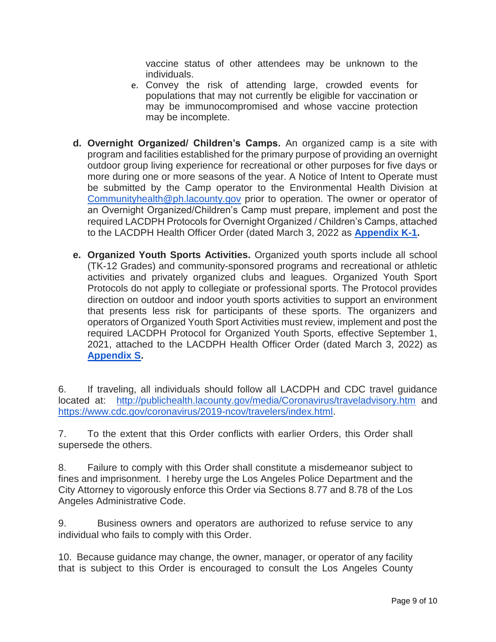vaccine status of other attendees may be unknown to the individuals.

- e. Convey the risk of attending large, crowded events for populations that may not currently be eligible for vaccination or may be immunocompromised and whose vaccine protection may be incomplete.
- **d. Overnight Organized/ Children's Camps.** An organized camp is a site with program and facilities established for the primary purpose of providing an overnight outdoor group living experience for recreational or other purposes for five days or more during one or more seasons of the year. A Notice of Intent to Operate must be submitted by the Camp operator to the Environmental Health Division at [Communityhealth@ph.lacounty.gov](mailto:Communityhealth@ph.lacounty.gov) prior to operation. The owner or operator of an Overnight Organized/Children's Camp must prepare, implement and post the required LACDPH Protocols for Overnight Organized / Children's Camps, attached to the LACDPH Health Officer Order (dated March 3, 2022 as **[Appendix K-1.](http://publichealth.lacounty.gov/media/coronavirus/reopening-la.htm#k12)**
- **e. Organized Youth Sports Activities.** Organized youth sports include all school (TK-12 Grades) and community-sponsored programs and recreational or athletic activities and privately organized clubs and leagues. Organized Youth Sport Protocols do not apply to collegiate or professional sports. The Protocol provides direction on outdoor and indoor youth sports activities to support an environment that presents less risk for participants of these sports. The organizers and operators of Organized Youth Sport Activities must review, implement and post the required LACDPH Protocol for Organized Youth Sports, effective September 1, 2021, attached to the LACDPH Health Officer Order (dated March 3, 2022) as **[Appendix S.](http://publichealth.lacounty.gov/media/coronavirus/reopening-la.htm#k12)**

6. If traveling, all individuals should follow all LACDPH and CDC travel guidance located at: <http://publichealth.lacounty.gov/media/Coronavirus/traveladvisory.htm> and [https://www.cdc.gov/coronavirus/2019-ncov/travelers/index.html.](https://www.cdc.gov/coronavirus/2019-ncov/travelers/index.html)

7. To the extent that this Order conflicts with earlier Orders, this Order shall supersede the others.

8. Failure to comply with this Order shall constitute a misdemeanor subject to fines and imprisonment. I hereby urge the Los Angeles Police Department and the City Attorney to vigorously enforce this Order via Sections 8.77 and 8.78 of the Los Angeles Administrative Code.

9. Business owners and operators are authorized to refuse service to any individual who fails to comply with this Order.

10. Because guidance may change, the owner, manager, or operator of any facility that is subject to this Order is encouraged to consult the Los Angeles County